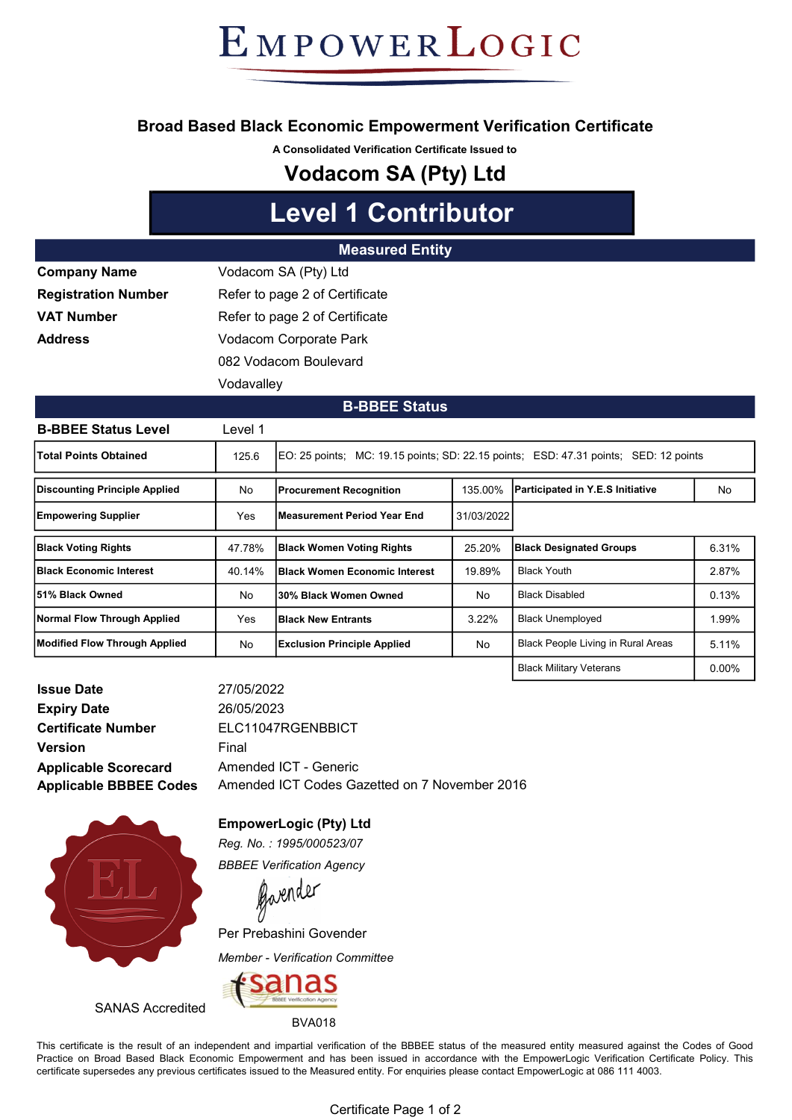EMPOWERLOGIC

### Broad Based Black Economic Empowerment Verification Certificate

A Consolidated Verification Certificate Issued to

# Vodacom SA (Pty) Ltd

# Level 1 Contributor

#### Measured Entity

| <b>Company Name</b>        | Vodacom SA (Pty) Ltd           |  |  |
|----------------------------|--------------------------------|--|--|
| <b>Registration Number</b> | Refer to page 2 of Certificate |  |  |
| VAT Number                 | Refer to page 2 of Certificate |  |  |
| Address                    | Vodacom Corporate Park         |  |  |
|                            | 082 Vodacom Boulevard          |  |  |
|                            | Vodavalley                     |  |  |

#### B-BBEE Status

| <b>B-BBEE Status Level</b>      | Level 1 |                                                                                      |                                  |                                           |          |  |
|---------------------------------|---------|--------------------------------------------------------------------------------------|----------------------------------|-------------------------------------------|----------|--|
| <b>Total Points Obtained</b>    | 125.6   | EO: 25 points; MC: 19.15 points; SD: 22.15 points; ESD: 47.31 points; SED: 12 points |                                  |                                           |          |  |
| Discounting Principle Applied   | No      | <b>Procurement Recognition</b>                                                       | 135.00%                          | Participated in Y.E.S Initiative          | No.      |  |
| <b>Empowering Supplier</b>      | Yes     | <b>Measurement Period Year End.</b>                                                  | 31/03/2022                       |                                           |          |  |
| <b>Black Voting Rights</b>      | 47.78%  | <b>Black Women Voting Rights</b>                                                     | 25.20%                           | <b>Black Designated Groups</b>            | 6.31%    |  |
| <b>IBlack Economic Interest</b> | 40.14%  | <b>Black Women Economic Interest</b>                                                 | 19.89%                           | <b>Black Youth</b>                        | 2.87%    |  |
| l51% Black Owned                | No      | 30% Black Women Owned                                                                | No                               | <b>Black Disabled</b>                     |          |  |
| Normal Flow Through Applied     | Yes     | <b>Black New Entrants</b>                                                            | <b>Black Unemployed</b><br>3.22% |                                           | 1.99%    |  |
| Modified Flow Through Applied   | No      | <b>Exclusion Principle Applied</b>                                                   | No                               | <b>Black People Living in Rural Areas</b> | 5.11%    |  |
|                                 |         |                                                                                      |                                  | <b>Black Military Veterans</b>            | $0.00\%$ |  |

| <b>Issue Date</b>             |
|-------------------------------|
| <b>Expiry Date</b>            |
| <b>Certificate Number</b>     |
| <b>Version</b>                |
| <b>Applicable Scorecard</b>   |
| <b>Applicable BBBEE Codes</b> |

27/05/2022 26/05/2023 Amended ICT - Generic ELC11047RGENBBICT Final Amended ICT Codes Gazetted on 7 November 2016



SANAS Accredited

EmpowerLogic (Pty) Ltd Reg. No. : 1995/000523/07

BBBEE Verification Agency

Gavender

Per Prebashini Govender

Member - Verification Committee



BVA018

This certificate is the result of an independent and impartial verification of the BBBEE status of the measured entity measured against the Codes of Good Practice on Broad Based Black Economic Empowerment and has been issued in accordance with the EmpowerLogic Verification Certificate Policy. This certificate supersedes any previous certificates issued to the Measured entity. For enquiries please contact EmpowerLogic at 086 111 4003.